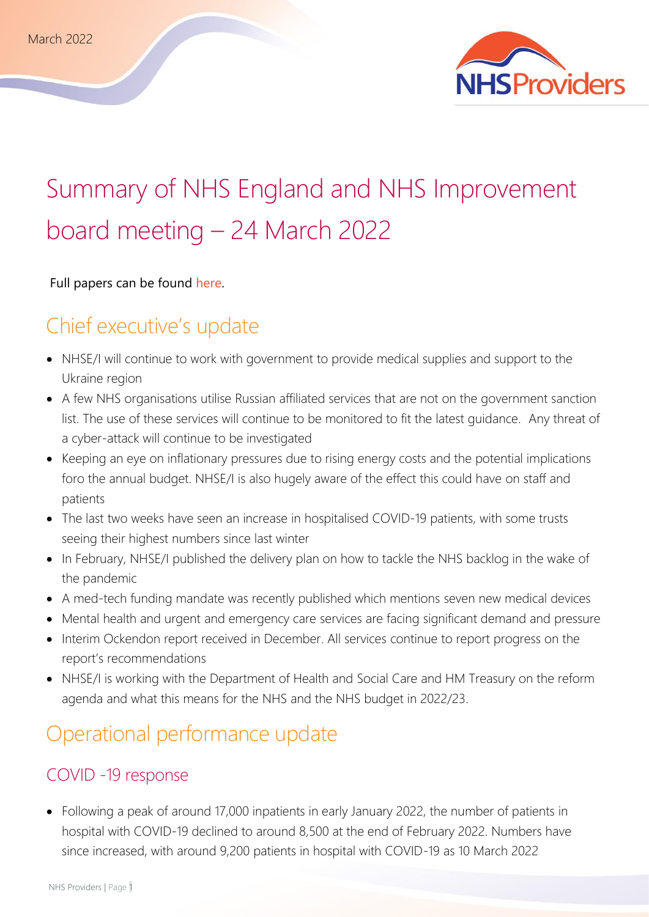

# Summary of NHS England and NHS Improvement board meeting – 24 March 2022

Full papers can be found [here.](https://www.england.nhs.uk/publication/nhsei-board-meetings-in-common-agenda-and-papers-24-march-2022/)

# Chief executive's update

- NHSE/I will continue to work with government to provide medical supplies and support to the Ukraine region
- A few NHS organisations utilise Russian affiliated services that are not on the government sanction list. The use of these services will continue to be monitored to fit the latest guidance. Any threat of a cyber-attack will continue to be investigated
- Keeping an eye on inflationary pressures due to rising energy costs and the potential implications foro the annual budget. NHSE/I is also hugely aware of the effect this could have on staff and patients
- The last two weeks have seen an increase in hospitalised COVID-19 patients, with some trusts seeing their highest numbers since last winter
- In February, NHSE/I published the delivery plan on how to tackle the NHS backlog in the wake of the pandemic
- A med-tech funding mandate was recently published which mentions seven new medical devices
- Mental health and urgent and emergency care services are facing significant demand and pressure
- Interim Ockendon report received in December. All services continue to report progress on the report's recommendations
- NHSE/I is working with the Department of Health and Social Care and HM Treasury on the reform agenda and what this means for the NHS and the NHS budget in 2022/23.

# Operational performance update

#### COVID -19 response

• Following a peak of around 17,000 inpatients in early January 2022, the number of patients in hospital with COVID-19 declined to around 8,500 at the end of February 2022. Numbers have since increased, with around 9,200 patients in hospital with COVID-19 as 10 March 2022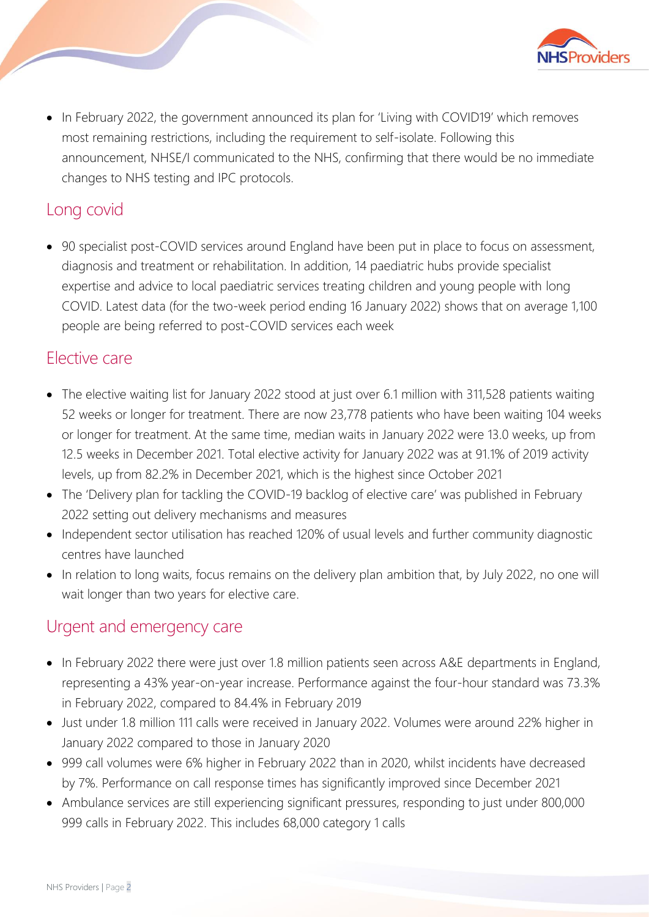

• In February 2022, the government announced its plan for 'Living with COVID19' which removes most remaining restrictions, including the requirement to self-isolate. Following this announcement, NHSE/I communicated to the NHS, confirming that there would be no immediate changes to NHS testing and IPC protocols.

# Long covid

• 90 specialist post-COVID services around England have been put in place to focus on assessment, diagnosis and treatment or rehabilitation. In addition, 14 paediatric hubs provide specialist expertise and advice to local paediatric services treating children and young people with long COVID. Latest data (for the two-week period ending 16 January 2022) shows that on average 1,100 people are being referred to post-COVID services each week

#### Elective care

- The elective waiting list for January 2022 stood at just over 6.1 million with 311,528 patients waiting 52 weeks or longer for treatment. There are now 23,778 patients who have been waiting 104 weeks or longer for treatment. At the same time, median waits in January 2022 were 13.0 weeks, up from 12.5 weeks in December 2021. Total elective activity for January 2022 was at 91.1% of 2019 activity levels, up from 82.2% in December 2021, which is the highest since October 2021
- The 'Delivery plan for tackling the COVID-19 backlog of elective care' was published in February 2022 setting out delivery mechanisms and measures
- Independent sector utilisation has reached 120% of usual levels and further community diagnostic centres have launched
- In relation to long waits, focus remains on the delivery plan ambition that, by July 2022, no one will wait longer than two years for elective care.

#### Urgent and emergency care

- In February 2022 there were just over 1.8 million patients seen across A&E departments in England, representing a 43% year-on-year increase. Performance against the four-hour standard was 73.3% in February 2022, compared to 84.4% in February 2019
- Just under 1.8 million 111 calls were received in January 2022. Volumes were around 22% higher in January 2022 compared to those in January 2020
- 999 call volumes were 6% higher in February 2022 than in 2020, whilst incidents have decreased by 7%. Performance on call response times has significantly improved since December 2021
- Ambulance services are still experiencing significant pressures, responding to just under 800,000 999 calls in February 2022. This includes 68,000 category 1 calls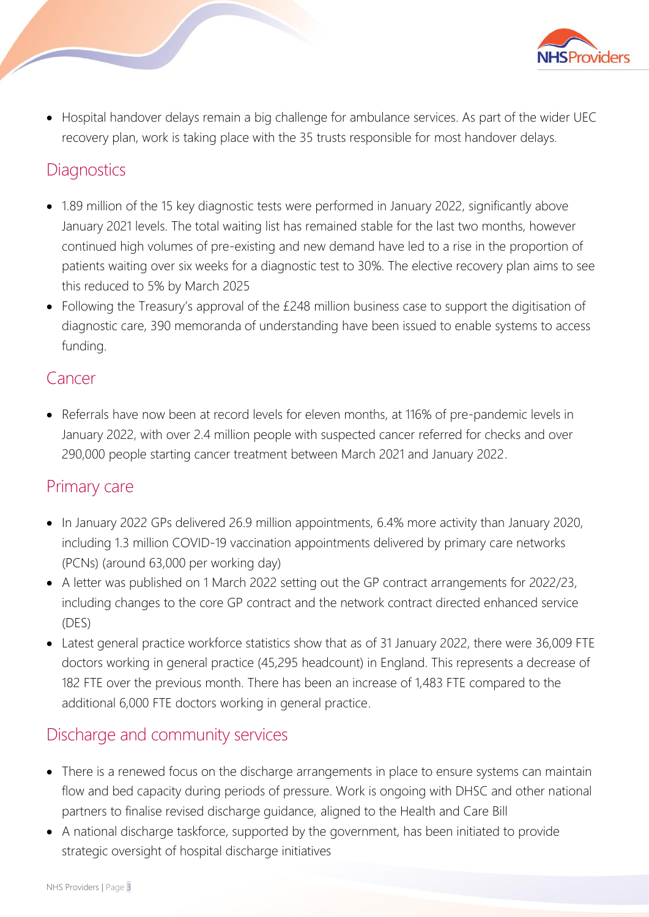

• Hospital handover delays remain a big challenge for ambulance services. As part of the wider UEC recovery plan, work is taking place with the 35 trusts responsible for most handover delays.

#### **Diagnostics**

- 1.89 million of the 15 key diagnostic tests were performed in January 2022, significantly above January 2021 levels. The total waiting list has remained stable for the last two months, however continued high volumes of pre-existing and new demand have led to a rise in the proportion of patients waiting over six weeks for a diagnostic test to 30%. The elective recovery plan aims to see this reduced to 5% by March 2025
- Following the Treasury's approval of the £248 million business case to support the digitisation of diagnostic care, 390 memoranda of understanding have been issued to enable systems to access funding.

#### **Cancer**

• Referrals have now been at record levels for eleven months, at 116% of pre-pandemic levels in January 2022, with over 2.4 million people with suspected cancer referred for checks and over 290,000 people starting cancer treatment between March 2021 and January 2022.

#### Primary care

- In January 2022 GPs delivered 26.9 million appointments, 6.4% more activity than January 2020, including 1.3 million COVID-19 vaccination appointments delivered by primary care networks (PCNs) (around 63,000 per working day)
- A letter was published on 1 March 2022 setting out the GP contract arrangements for 2022/23, including changes to the core GP contract and the network contract directed enhanced service (DES)
- Latest general practice workforce statistics show that as of 31 January 2022, there were 36,009 FTE doctors working in general practice (45,295 headcount) in England. This represents a decrease of 182 FTE over the previous month. There has been an increase of 1,483 FTE compared to the additional 6,000 FTE doctors working in general practice.

#### Discharge and community services

- There is a renewed focus on the discharge arrangements in place to ensure systems can maintain flow and bed capacity during periods of pressure. Work is ongoing with DHSC and other national partners to finalise revised discharge guidance, aligned to the Health and Care Bill
- A national discharge taskforce, supported by the government, has been initiated to provide strategic oversight of hospital discharge initiatives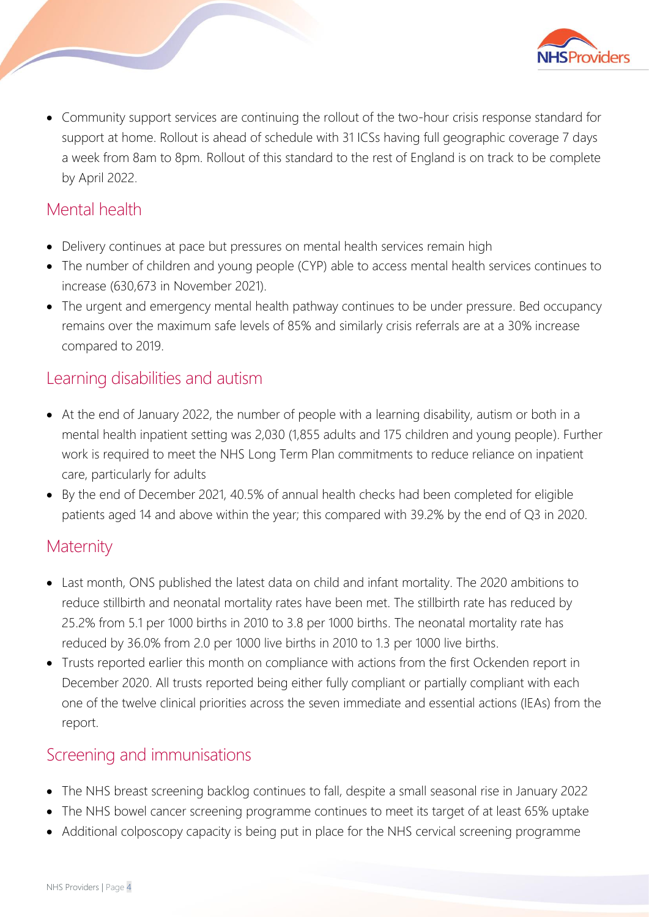

• Community support services are continuing the rollout of the two-hour crisis response standard for support at home. Rollout is ahead of schedule with 31 ICSs having full geographic coverage 7 days a week from 8am to 8pm. Rollout of this standard to the rest of England is on track to be complete by April 2022.

# Mental health

- Delivery continues at pace but pressures on mental health services remain high
- The number of children and young people (CYP) able to access mental health services continues to increase (630,673 in November 2021).
- The urgent and emergency mental health pathway continues to be under pressure. Bed occupancy remains over the maximum safe levels of 85% and similarly crisis referrals are at a 30% increase compared to 2019.

#### Learning disabilities and autism

- At the end of January 2022, the number of people with a learning disability, autism or both in a mental health inpatient setting was 2,030 (1,855 adults and 175 children and young people). Further work is required to meet the NHS Long Term Plan commitments to reduce reliance on inpatient care, particularly for adults
- By the end of December 2021, 40.5% of annual health checks had been completed for eligible patients aged 14 and above within the year; this compared with 39.2% by the end of Q3 in 2020.

#### **Maternity**

- Last month, ONS published the latest data on child and infant mortality. The 2020 ambitions to reduce stillbirth and neonatal mortality rates have been met. The stillbirth rate has reduced by 25.2% from 5.1 per 1000 births in 2010 to 3.8 per 1000 births. The neonatal mortality rate has reduced by 36.0% from 2.0 per 1000 live births in 2010 to 1.3 per 1000 live births.
- Trusts reported earlier this month on compliance with actions from the first Ockenden report in December 2020. All trusts reported being either fully compliant or partially compliant with each one of the twelve clinical priorities across the seven immediate and essential actions (IEAs) from the report.

#### Screening and immunisations

- The NHS breast screening backlog continues to fall, despite a small seasonal rise in January 2022
- The NHS bowel cancer screening programme continues to meet its target of at least 65% uptake
- Additional colposcopy capacity is being put in place for the NHS cervical screening programme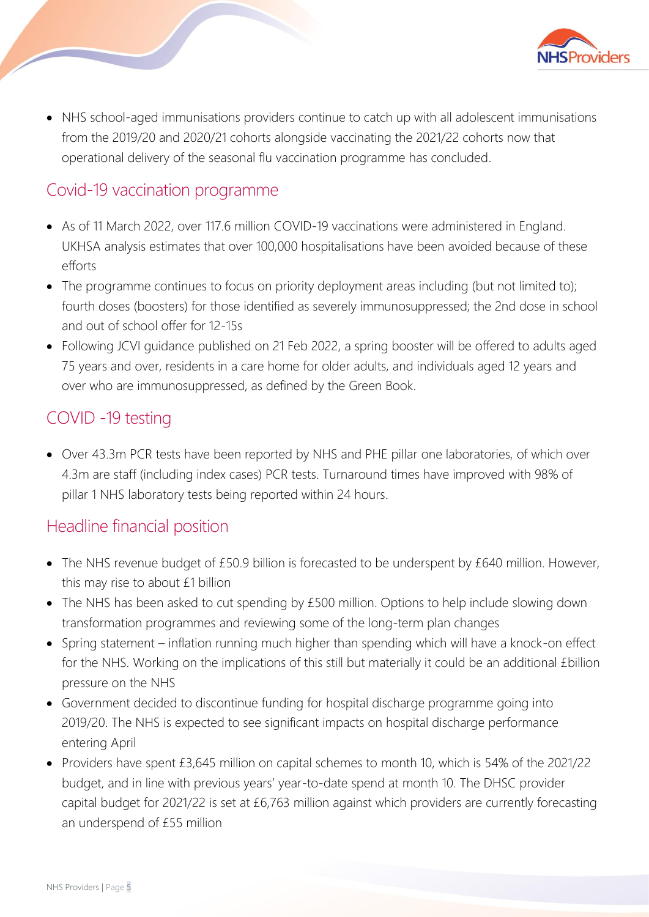

• NHS school-aged immunisations providers continue to catch up with all adolescent immunisations from the 2019/20 and 2020/21 cohorts alongside vaccinating the 2021/22 cohorts now that operational delivery of the seasonal flu vaccination programme has concluded.

#### Covid-19 vaccination programme

- As of 11 March 2022, over 117.6 million COVID-19 vaccinations were administered in England. UKHSA analysis estimates that over 100,000 hospitalisations have been avoided because of these efforts
- The programme continues to focus on priority deployment areas including (but not limited to); fourth doses (boosters) for those identified as severely immunosuppressed; the 2nd dose in school and out of school offer for 12-15s
- Following JCVI guidance published on 21 Feb 2022, a spring booster will be offered to adults aged 75 years and over, residents in a care home for older adults, and individuals aged 12 years and over who are immunosuppressed, as defined by the Green Book.

### COVID -19 testing

• Over 43.3m PCR tests have been reported by NHS and PHE pillar one laboratories, of which over 4.3m are staff (including index cases) PCR tests. Turnaround times have improved with 98% of pillar 1 NHS laboratory tests being reported within 24 hours.

#### Headline financial position

- The NHS revenue budget of £50.9 billion is forecasted to be underspent by £640 million. However, this may rise to about £1 billion
- The NHS has been asked to cut spending by £500 million. Options to help include slowing down transformation programmes and reviewing some of the long-term plan changes
- Spring statement inflation running much higher than spending which will have a knock-on effect for the NHS. Working on the implications of this still but materially it could be an additional £billion pressure on the NHS
- Government decided to discontinue funding for hospital discharge programme going into 2019/20. The NHS is expected to see significant impacts on hospital discharge performance entering April
- Providers have spent £3,645 million on capital schemes to month 10, which is 54% of the 2021/22 budget, and in line with previous years' year-to-date spend at month 10. The DHSC provider capital budget for 2021/22 is set at £6,763 million against which providers are currently forecasting an underspend of £55 million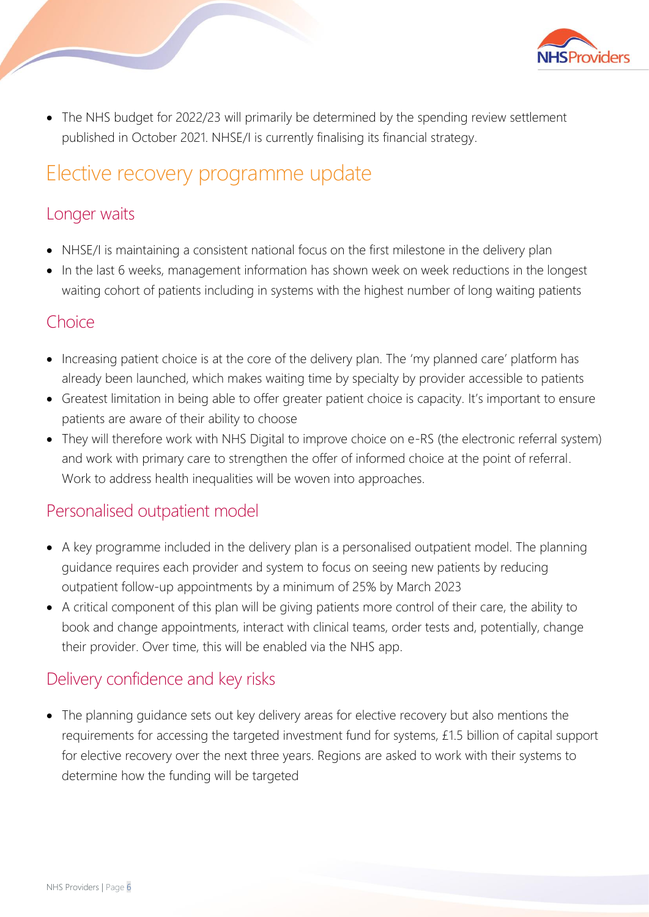

• The NHS budget for 2022/23 will primarily be determined by the spending review settlement published in October 2021. NHSE/I is currently finalising its financial strategy.

# Elective recovery programme update

### Longer waits

- NHSE/I is maintaining a consistent national focus on the first milestone in the delivery plan
- In the last 6 weeks, management information has shown week on week reductions in the longest waiting cohort of patients including in systems with the highest number of long waiting patients

### **Choice**

- Increasing patient choice is at the core of the delivery plan. The 'my planned care' platform has already been launched, which makes waiting time by specialty by provider accessible to patients
- Greatest limitation in being able to offer greater patient choice is capacity. It's important to ensure patients are aware of their ability to choose
- They will therefore work with NHS Digital to improve choice on e-RS (the electronic referral system) and work with primary care to strengthen the offer of informed choice at the point of referral. Work to address health inequalities will be woven into approaches.

### Personalised outpatient model

- A key programme included in the delivery plan is a personalised outpatient model. The planning guidance requires each provider and system to focus on seeing new patients by reducing outpatient follow-up appointments by a minimum of 25% by March 2023
- A critical component of this plan will be giving patients more control of their care, the ability to book and change appointments, interact with clinical teams, order tests and, potentially, change their provider. Over time, this will be enabled via the NHS app.

### Delivery confidence and key risks

• The planning guidance sets out key delivery areas for elective recovery but also mentions the requirements for accessing the targeted investment fund for systems, £1.5 billion of capital support for elective recovery over the next three years. Regions are asked to work with their systems to determine how the funding will be targeted